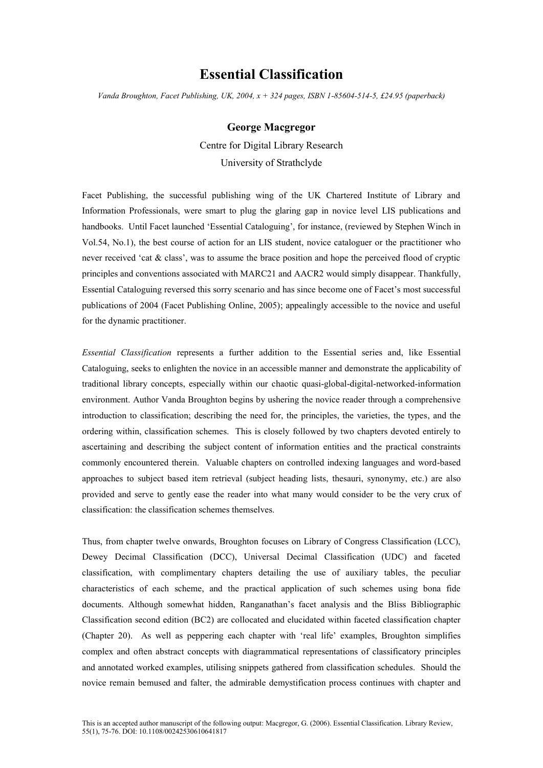## **Essential Classification**

*Vanda Broughton, Facet Publishing, UK, 2004, x + 324 pages, ISBN 1-85604-514-5, £24.95 (paperback)*

## **George Macgregor**

Centre for Digital Library Research University of Strathclyde

Facet Publishing, the successful publishing wing of the UK Chartered Institute of Library and Information Professionals, were smart to plug the glaring gap in novice level LIS publications and handbooks. Until Facet launched 'Essential Cataloguing', for instance, (reviewed by Stephen Winch in Vol.54, No.1), the best course of action for an LIS student, novice cataloguer or the practitioner who never received 'cat & class', was to assume the brace position and hope the perceived flood of cryptic principles and conventions associated with MARC21 and AACR2 would simply disappear. Thankfully, Essential Cataloguing reversed this sorry scenario and has since become one of Facet's most successful publications of 2004 (Facet Publishing Online, 2005); appealingly accessible to the novice and useful for the dynamic practitioner.

*Essential Classification* represents a further addition to the Essential series and, like Essential Cataloguing, seeks to enlighten the novice in an accessible manner and demonstrate the applicability of traditional library concepts, especially within our chaotic quasi-global-digital-networked-information environment. Author Vanda Broughton begins by ushering the novice reader through a comprehensive introduction to classification; describing the need for, the principles, the varieties, the types, and the ordering within, classification schemes. This is closely followed by two chapters devoted entirely to ascertaining and describing the subject content of information entities and the practical constraints commonly encountered therein. Valuable chapters on controlled indexing languages and word-based approaches to subject based item retrieval (subject heading lists, thesauri, synonymy, etc.) are also provided and serve to gently ease the reader into what many would consider to be the very crux of classification: the classification schemes themselves.

Thus, from chapter twelve onwards, Broughton focuses on Library of Congress Classification (LCC), Dewey Decimal Classification (DCC), Universal Decimal Classification (UDC) and faceted classification, with complimentary chapters detailing the use of auxiliary tables, the peculiar characteristics of each scheme, and the practical application of such schemes using bona fide documents. Although somewhat hidden, Ranganathan's facet analysis and the Bliss Bibliographic Classification second edition (BC2) are collocated and elucidated within faceted classification chapter (Chapter 20). As well as peppering each chapter with 'real life' examples, Broughton simplifies complex and often abstract concepts with diagrammatical representations of classificatory principles and annotated worked examples, utilising snippets gathered from classification schedules. Should the novice remain bemused and falter, the admirable demystification process continues with chapter and